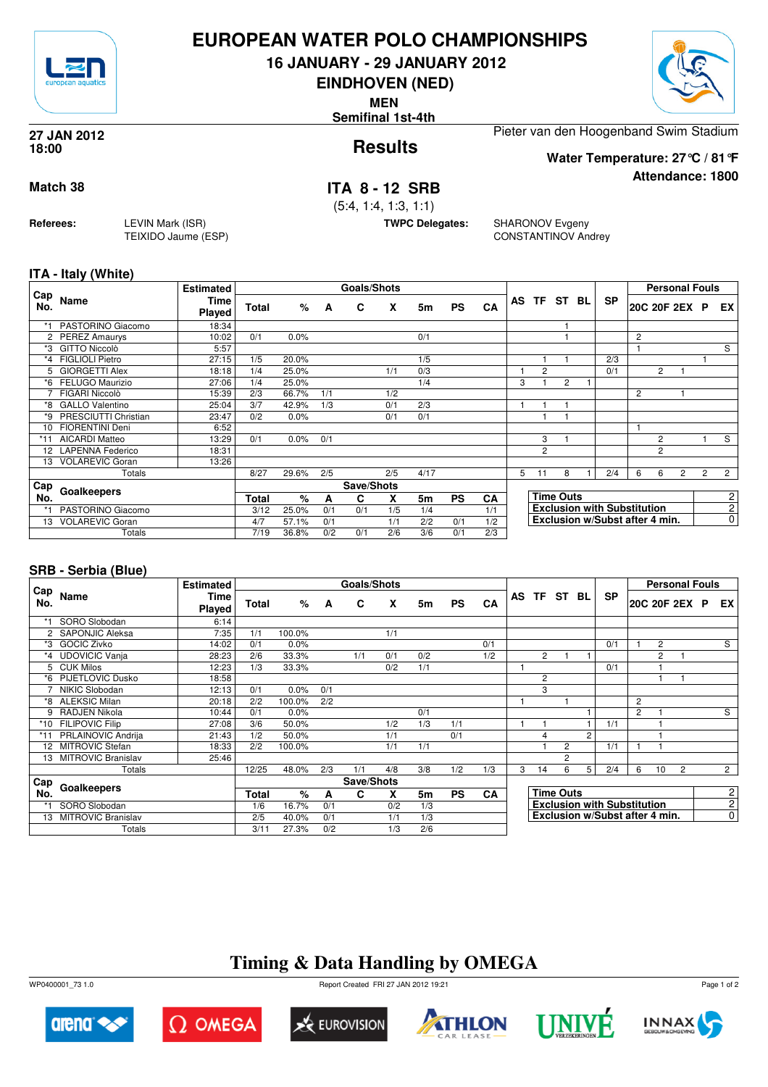

## **EUROPEAN WATER POLO CHAMPIONSHIPS**

**16 JANUARY - 29 JANUARY 2012**

**EINDHOVEN (NED)**

**MEN**

**Semifinal 1st-4th**



**Attendance: 1800**

**Results 27 JAN 2012 18:00**

Pieter van den Hoogenband Swim Stadium

**Water Temperature: 27°C / 81°F**

## **Match 38 ITA 8 - 12 SRB**

(5:4, 1:4, 1:3, 1:1)

**TWPC Delegates:** SHARONOV Evgeny CONSTANTINOV Andrey

### **ITA - Italy (White)**

**Referees:** LEVIN Mark (ISR)

TEIXIDO Jaume (ESP)

| Cap                  |                         | <b>Estimated</b>      |       |       |     | <b>Goals/Shots</b> |     |                |           |           |   |                |                  |                                    |   | <b>Personal Fouls</b> |                |                |                |
|----------------------|-------------------------|-----------------------|-------|-------|-----|--------------------|-----|----------------|-----------|-----------|---|----------------|------------------|------------------------------------|---|-----------------------|----------------|----------------|----------------|
| No.                  | Name                    | <b>Time</b><br>Played | Total | %     | A   | C                  | X   | 5m             | <b>PS</b> | CA        |   | AS TF ST BL    |                  | <b>SP</b>                          |   | 20C 20F 2EX P         |                |                | EX             |
|                      | PASTORINO Giacomo       | 18:34                 |       |       |     |                    |     |                |           |           |   |                |                  |                                    |   |                       |                |                |                |
| $\mathbf{2}^{\circ}$ | <b>PEREZ Amaurys</b>    | 10:02                 | 0/1   | 0.0%  |     |                    |     | 0/1            |           |           |   |                |                  |                                    | 2 |                       |                |                |                |
| *3                   | <b>GITTO Niccolò</b>    | 5:57                  |       |       |     |                    |     |                |           |           |   |                |                  |                                    |   |                       |                |                | S              |
| *4                   | <b>FIGLIOLI Pietro</b>  | 27:15                 | 1/5   | 20.0% |     |                    |     | 1/5            |           |           |   |                |                  | 2/3                                |   |                       |                |                |                |
| 5.                   | <b>GIORGETTI Alex</b>   | 18:18                 | 1/4   | 25.0% |     |                    | 1/1 | 0/3            |           |           |   | $\overline{c}$ |                  | 0/1                                |   | 2                     |                |                |                |
| *6                   | FELUGO Maurizio         | 27:06                 | 1/4   | 25.0% |     |                    |     | 1/4            |           |           | 3 |                | $\overline{c}$   |                                    |   |                       |                |                |                |
|                      | FIGARI Niccolò          | 15:39                 | 2/3   | 66.7% | 1/1 |                    | 1/2 |                |           |           |   |                |                  |                                    | 2 |                       |                |                |                |
| *8                   | <b>GALLO Valentino</b>  | 25:04                 | 3/7   | 42.9% | 1/3 |                    | 0/1 | 2/3            |           |           |   |                |                  |                                    |   |                       |                |                |                |
| *9                   | PRESCIUTTI Christian    | 23:47                 | 0/2   | 0.0%  |     |                    | 0/1 | 0/1            |           |           |   |                |                  |                                    |   |                       |                |                |                |
| 10                   | <b>FIORENTINI Deni</b>  | 6:52                  |       |       |     |                    |     |                |           |           |   |                |                  |                                    |   |                       |                |                |                |
| *11                  | <b>AICARDI Matteo</b>   | 13:29                 | 0/1   | 0.0%  | 0/1 |                    |     |                |           |           |   | 3              |                  |                                    |   | 2                     |                |                | S              |
| 12                   | <b>LAPENNA Federico</b> | 18:31                 |       |       |     |                    |     |                |           |           |   | $\overline{c}$ |                  |                                    |   | 2                     |                |                |                |
| 13                   | <b>VOLAREVIC Goran</b>  | 13:26                 |       |       |     |                    |     |                |           |           |   |                |                  |                                    |   |                       |                |                |                |
|                      | Totals                  |                       | 8/27  | 29.6% | 2/5 |                    | 2/5 | 4/17           |           |           | 5 | 11             | 8                | 2/4                                | 6 | 6                     | $\overline{c}$ | $\overline{2}$ | $\overline{2}$ |
| Cap                  |                         |                       |       |       |     | Save/Shots         |     |                |           |           |   |                |                  |                                    |   |                       |                |                |                |
| No.                  | Goalkeepers             |                       | Total | %     | A   | C                  | X   | 5 <sub>m</sub> | <b>PS</b> | <b>CA</b> |   |                | <b>Time Outs</b> |                                    |   |                       |                |                | 2              |
|                      | PASTORINO Giacomo       |                       | 3/12  | 25.0% | 0/1 | 0/1                | 1/5 | 1/4            |           | 1/1       |   |                |                  | <b>Exclusion with Substitution</b> |   |                       |                |                | $\overline{c}$ |
| 13                   | <b>VOLAREVIC Goran</b>  |                       | 4/7   | 57.1% | 0/1 |                    | 1/1 | 2/2            | 0/1       | 1/2       |   |                |                  | Exclusion w/Subst after 4 min.     |   |                       |                |                | 0              |
|                      | Totals                  |                       | 7/19  | 36.8% | 0/2 | 0/1                | 2/6 | 3/6            | 0/1       | 2/3       |   |                |                  |                                    |   |                       |                |                |                |

## **SRB - Serbia (Blue)**

|                      |                           | <b>Estimated</b>      |       |        |     | Goals/Shots |     |     |           |           |   |                |                  |   |                                    |                |                | <b>Personal Fouls</b> |                |
|----------------------|---------------------------|-----------------------|-------|--------|-----|-------------|-----|-----|-----------|-----------|---|----------------|------------------|---|------------------------------------|----------------|----------------|-----------------------|----------------|
| Cap<br>No.           | Name                      | Time<br><b>Played</b> | Total | $\%$   | A   | C           | X   | 5m  | <b>PS</b> | CA        |   | AS TF ST BL    |                  |   | <b>SP</b>                          |                |                | 20C 20F 2EX P         | EX I           |
|                      | SORO Slobodan             | 6:14                  |       |        |     |             |     |     |           |           |   |                |                  |   |                                    |                |                |                       |                |
| $\mathbf{2}^{\circ}$ | <b>SAPONJIC Aleksa</b>    | 7:35                  | 1/1   | 100.0% |     |             | 1/1 |     |           |           |   |                |                  |   |                                    |                |                |                       |                |
| *3                   | <b>GOCIC Zivko</b>        | 14:02                 | 0/1   | 0.0%   |     |             |     |     |           | 0/1       |   |                |                  |   | 0/1                                |                | $\overline{2}$ |                       | S              |
| *4                   | <b>UDOVICIC Vanja</b>     | 28:23                 | 2/6   | 33.3%  |     | 1/1         | 0/1 | 0/2 |           | 1/2       |   | $\overline{2}$ |                  |   |                                    |                | 2              |                       |                |
| 5                    | <b>CUK Milos</b>          | 12:23                 | 1/3   | 33.3%  |     |             | 0/2 | 1/1 |           |           |   |                |                  |   | 0/1                                |                |                |                       |                |
| *6                   | <b>PIJETLOVIC Dusko</b>   | 18:58                 |       |        |     |             |     |     |           |           |   | $\overline{c}$ |                  |   |                                    |                |                |                       |                |
|                      | NIKIC Slobodan            | 12:13                 | 0/1   | 0.0%   | 0/1 |             |     |     |           |           |   | 3              |                  |   |                                    |                |                |                       |                |
| *8                   | <b>ALEKSIC Milan</b>      | 20:18                 | 2/2   | 100.0% | 2/2 |             |     |     |           |           |   |                |                  |   |                                    | 2              |                |                       |                |
| 9                    | RADJEN Nikola             | 10:44                 | 0/1   | 0.0%   |     |             |     | 0/1 |           |           |   |                |                  |   |                                    | $\overline{c}$ |                |                       | $\overline{s}$ |
|                      | *10 FILIPOVIC Filip       | 27:08                 | 3/6   | 50.0%  |     |             | 1/2 | 1/3 | 1/1       |           |   |                |                  |   | 1/1                                |                |                |                       |                |
|                      | <b>PRLAINOVIC Andrija</b> | 21:43                 | 1/2   | 50.0%  |     |             | 1/1 |     | 0/1       |           |   | 4              |                  | 2 |                                    |                |                |                       |                |
| 12                   | <b>MITROVIC Stefan</b>    | 18:33                 | 2/2   | 100.0% |     |             | 1/1 | 1/1 |           |           |   |                | 2                |   | 1/1                                |                |                |                       |                |
| 13                   | <b>MITROVIC Branislav</b> | 25:46                 |       |        |     |             |     |     |           |           |   |                | 2                |   |                                    |                |                |                       |                |
|                      | Totals                    |                       | 12/25 | 48.0%  | 2/3 | 1/1         | 4/8 | 3/8 | 1/2       | 1/3       | 3 | 14             | 6                | 5 | 2/4                                | 6              | 10             | $\overline{2}$        | $\overline{2}$ |
| Cap                  |                           |                       |       |        |     | Save/Shots  |     |     |           |           |   |                |                  |   |                                    |                |                |                       |                |
| No.                  | Goalkeepers               |                       | Total | $\%$   | A   | C           | X   | 5m  | <b>PS</b> | <b>CA</b> |   |                | <b>Time Outs</b> |   |                                    |                |                |                       | $\mathbf{2}$   |
| $*1$                 | SORO Slobodan             |                       | 1/6   | 16.7%  | 0/1 |             | 0/2 | 1/3 |           |           |   |                |                  |   | <b>Exclusion with Substitution</b> |                |                |                       | 2 <sup>1</sup> |
| 13                   | <b>MITROVIC Branislav</b> |                       | 2/5   | 40.0%  | 0/1 |             | 1/1 | 1/3 |           |           |   |                |                  |   | Exclusion w/Subst after 4 min.     |                |                |                       | $\overline{0}$ |
|                      | Totals                    |                       | 3/11  | 27.3%  | 0/2 |             | 1/3 | 2/6 |           |           |   |                |                  |   |                                    |                |                |                       |                |

# **Timing & Data Handling by OMEGA**

WP0400001\_73 1.0 Report Created FRI 27 JAN 2012 19:21













Page 1 of 2